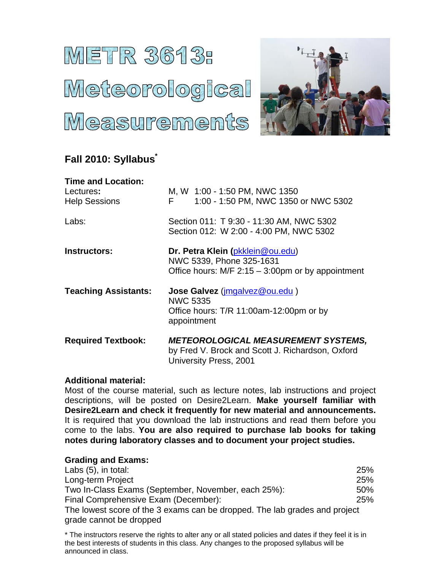# METR 3613: Meteorological Measurements



# **Fall 2010: Syllabus\***

| <b>Time and Location:</b><br>Lectures:<br><b>Help Sessions</b> | M, W 1:00 - 1:50 PM, NWC 1350<br>1:00 - 1:50 PM, NWC 1350 or NWC 5302<br>F                                                      |
|----------------------------------------------------------------|---------------------------------------------------------------------------------------------------------------------------------|
| Labs:                                                          | Section 011: T 9:30 - 11:30 AM, NWC 5302<br>Section 012: W 2:00 - 4:00 PM, NWC 5302                                             |
| <b>Instructors:</b>                                            | Dr. Petra Klein (pkklein@ou.edu)<br>NWC 5339, Phone 325-1631<br>Office hours: $M/F$ 2:15 – 3:00pm or by appointment             |
| <b>Teaching Assistants:</b>                                    | <b>Jose Galvez</b> ( <i>imgalvez@ou.edu</i> )<br><b>NWC 5335</b><br>Office hours: T/R 11:00am-12:00pm or by<br>appointment      |
| <b>Required Textbook:</b>                                      | <b>METEOROLOGICAL MEASUREMENT SYSTEMS,</b><br>by Fred V. Brock and Scott J. Richardson, Oxford<br><b>University Press, 2001</b> |

# **Additional material:**

Most of the course material, such as lecture notes, lab instructions and project descriptions, will be posted on Desire2Learn. **Make yourself familiar with Desire2Learn and check it frequently for new material and announcements.** It is required that you download the lab instructions and read them before you come to the labs. **You are also required to purchase lab books for taking notes during laboratory classes and to document your project studies.**

# **Grading and Exams:**

| Labs $(5)$ , in total:                                                     | <b>25%</b> |
|----------------------------------------------------------------------------|------------|
| Long-term Project                                                          | 25%        |
| Two In-Class Exams (September, November, each 25%):                        | $50\%$     |
| Final Comprehensive Exam (December):                                       | <b>25%</b> |
| The lowest score of the 3 exams can be dropped. The lab grades and project |            |
| grade cannot be dropped                                                    |            |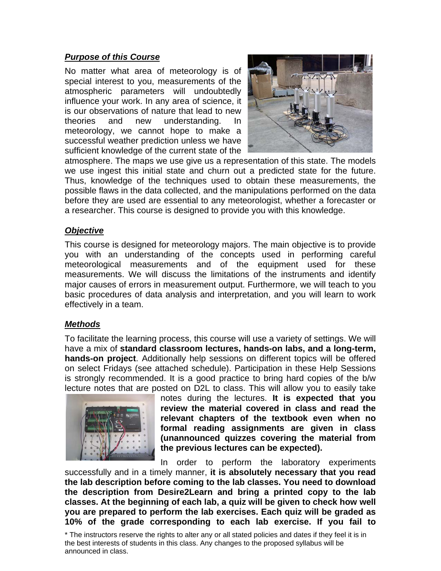#### *Purpose of this Course*

No matter what area of meteorology is of special interest to you, measurements of the atmospheric parameters will undoubtedly influence your work. In any area of science, it is our observations of nature that lead to new theories and new understanding. In meteorology, we cannot hope to make a successful weather prediction unless we have sufficient knowledge of the current state of the



atmosphere. The maps we use give us a representation of this state. The models we use ingest this initial state and churn out a predicted state for the future. Thus, knowledge of the techniques used to obtain these measurements, the possible flaws in the data collected, and the manipulations performed on the data before they are used are essential to any meteorologist, whether a forecaster or a researcher. This course is designed to provide you with this knowledge.

#### *Objective*

This course is designed for meteorology majors. The main objective is to provide you with an understanding of the concepts used in performing careful meteorological measurements and of the equipment used for these measurements. We will discuss the limitations of the instruments and identify major causes of errors in measurement output. Furthermore, we will teach to you basic procedures of data analysis and interpretation, and you will learn to work effectively in a team.

#### *Methods*

To facilitate the learning process, this course will use a variety of settings. We will have a mix of **standard classroom lectures, hands-on labs, and a long-term, hands-on project**. Additionally help sessions on different topics will be offered on select Fridays (see attached schedule). Participation in these Help Sessions is strongly recommended. It is a good practice to bring hard copies of the b/w lecture notes that are posted on D2L to class. This will allow you to easily take



notes during the lectures. **It is expected that you review the material covered in class and read the relevant chapters of the textbook even when no formal reading assignments are given in class (unannounced quizzes covering the material from the previous lectures can be expected).**

In order to perform the laboratory experiments successfully and in a timely manner, **it is absolutely necessary that you read the lab description before coming to the lab classes. You need to download the description from Desire2Learn and bring a printed copy to the lab classes. At the beginning of each lab, a quiz will be given to check how well you are prepared to perform the lab exercises. Each quiz will be graded as 10% of the grade corresponding to each lab exercise. If you fail to**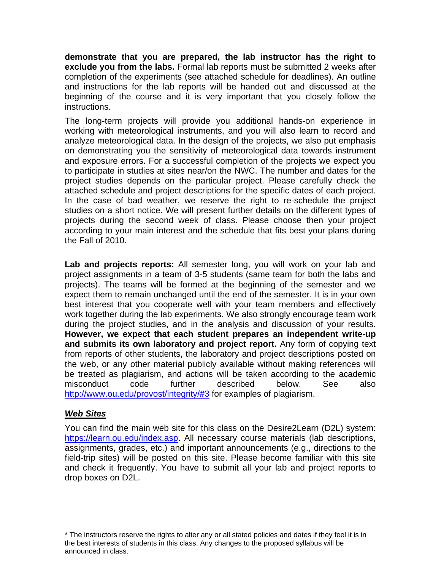**demonstrate that you are prepared, the lab instructor has the right to exclude you from the labs.** Formal lab reports must be submitted 2 weeks after completion of the experiments (see attached schedule for deadlines). An outline and instructions for the lab reports will be handed out and discussed at the beginning of the course and it is very important that you closely follow the instructions.

The long-term projects will provide you additional hands-on experience in working with meteorological instruments, and you will also learn to record and analyze meteorological data. In the design of the projects, we also put emphasis on demonstrating you the sensitivity of meteorological data towards instrument and exposure errors. For a successful completion of the projects we expect you to participate in studies at sites near/on the NWC. The number and dates for the project studies depends on the particular project. Please carefully check the attached schedule and project descriptions for the specific dates of each project. In the case of bad weather, we reserve the right to re-schedule the project studies on a short notice. We will present further details on the different types of projects during the second week of class. Please choose then your project according to your main interest and the schedule that fits best your plans during the Fall of 2010.

Lab and projects reports: All semester long, you will work on your lab and project assignments in a team of 3-5 students (same team for both the labs and projects). The teams will be formed at the beginning of the semester and we expect them to remain unchanged until the end of the semester. It is in your own best interest that you cooperate well with your team members and effectively work together during the lab experiments. We also strongly encourage team work during the project studies, and in the analysis and discussion of your results. **However, we expect that each student prepares an independent write-up and submits its own laboratory and project report.** Any form of copying text from reports of other students, the laboratory and project descriptions posted on the web, or any other material publicly available without making references will be treated as plagiarism, and actions will be taken according to the academic misconduct code further described below. See also http://www.ou.edu/provost/integrity/#3 for examples of plagiarism.

# *Web Sites*

You can find the main web site for this class on the Desire2Learn (D2L) system: https://learn.ou.edu/index.asp. All necessary course materials (lab descriptions, assignments, grades, etc.) and important announcements (e.g., directions to the field-trip sites) will be posted on this site. Please become familiar with this site and check it frequently. You have to submit all your lab and project reports to drop boxes on D2L.

<sup>\*</sup> The instructors reserve the rights to alter any or all stated policies and dates if they feel it is in the best interests of students in this class. Any changes to the proposed syllabus will be announced in class.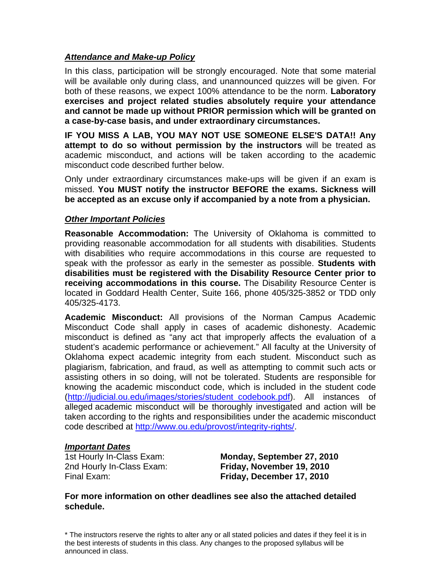### *Attendance and Make-up Policy*

In this class, participation will be strongly encouraged. Note that some material will be available only during class, and unannounced quizzes will be given. For both of these reasons, we expect 100% attendance to be the norm. **Laboratory exercises and project related studies absolutely require your attendance and cannot be made up without PRIOR permission which will be granted on a case-by-case basis, and under extraordinary circumstances.**

**IF YOU MISS A LAB, YOU MAY NOT USE SOMEONE ELSE'S DATA!! Any attempt to do so without permission by the instructors** will be treated as academic misconduct, and actions will be taken according to the academic misconduct code described further below.

Only under extraordinary circumstances make-ups will be given if an exam is missed. **You MUST notify the instructor BEFORE the exams. Sickness will be accepted as an excuse only if accompanied by a note from a physician.**

#### *Other Important Policies*

**Reasonable Accommodation:** The University of Oklahoma is committed to providing reasonable accommodation for all students with disabilities. Students with disabilities who require accommodations in this course are requested to speak with the professor as early in the semester as possible. **Students with disabilities must be registered with the Disability Resource Center prior to receiving accommodations in this course.** The Disability Resource Center is located in Goddard Health Center, Suite 166, phone 405/325-3852 or TDD only 405/325-4173.

**Academic Misconduct:** All provisions of the Norman Campus Academic Misconduct Code shall apply in cases of academic dishonesty. Academic misconduct is defined as "any act that improperly affects the evaluation of a student's academic performance or achievement." All faculty at the University of Oklahoma expect academic integrity from each student. Misconduct such as plagiarism, fabrication, and fraud, as well as attempting to commit such acts or assisting others in so doing, will not be tolerated. Students are responsible for knowing the academic misconduct code, which is included in the student code (http://judicial.ou.edu/images/stories/student\_codebook.pdf). All instances of alleged academic misconduct will be thoroughly investigated and action will be taken according to the rights and responsibilities under the academic misconduct code described at http://www.ou.edu/provost/integrity-rights/.

#### *Important Dates*

1st Hourly In-Class Exam: **Monday, September 27, 2010** 2nd Hourly In-Class Exam: **Friday, November 19, 2010**  Final Exam: **Friday, December 17, 2010** 

**For more information on other deadlines see also the attached detailed schedule.**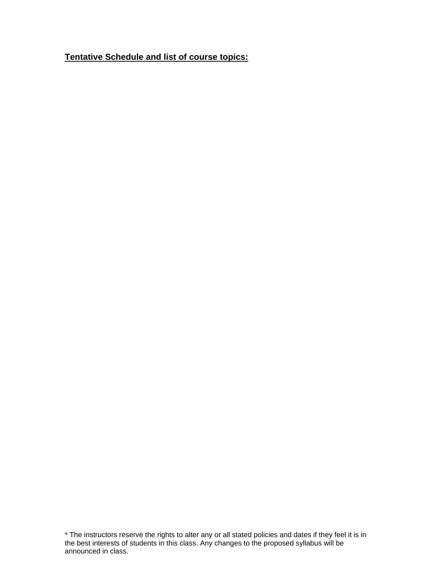**Tentative Schedule and list of course topics:**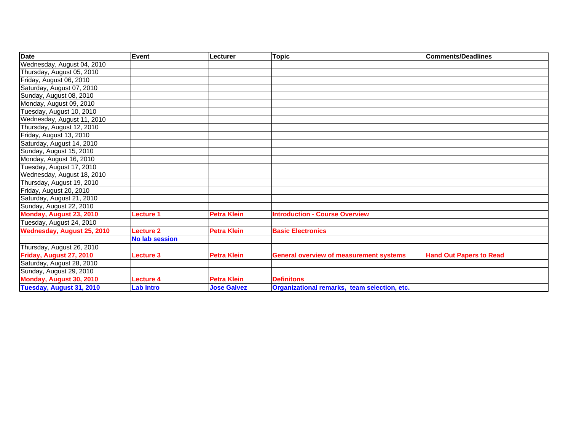| <b>Date</b>                | Event                 | Lecturer           | <b>Topic</b>                                   | <b>Comments/Deadlines</b>      |
|----------------------------|-----------------------|--------------------|------------------------------------------------|--------------------------------|
| Wednesday, August 04, 2010 |                       |                    |                                                |                                |
| Thursday, August 05, 2010  |                       |                    |                                                |                                |
| Friday, August 06, 2010    |                       |                    |                                                |                                |
| Saturday, August 07, 2010  |                       |                    |                                                |                                |
| Sunday, August 08, 2010    |                       |                    |                                                |                                |
| Monday, August 09, 2010    |                       |                    |                                                |                                |
| Tuesday, August 10, 2010   |                       |                    |                                                |                                |
| Wednesday, August 11, 2010 |                       |                    |                                                |                                |
| Thursday, August 12, 2010  |                       |                    |                                                |                                |
| Friday, August 13, 2010    |                       |                    |                                                |                                |
| Saturday, August 14, 2010  |                       |                    |                                                |                                |
| Sunday, August 15, 2010    |                       |                    |                                                |                                |
| Monday, August 16, 2010    |                       |                    |                                                |                                |
| Tuesday, August 17, 2010   |                       |                    |                                                |                                |
| Wednesday, August 18, 2010 |                       |                    |                                                |                                |
| Thursday, August 19, 2010  |                       |                    |                                                |                                |
| Friday, August 20, 2010    |                       |                    |                                                |                                |
| Saturday, August 21, 2010  |                       |                    |                                                |                                |
| Sunday, August 22, 2010    |                       |                    |                                                |                                |
| Monday, August 23, 2010    | <b>Lecture 1</b>      | <b>Petra Klein</b> | <b>Introduction - Course Overview</b>          |                                |
| Tuesday, August 24, 2010   |                       |                    |                                                |                                |
| Wednesday, August 25, 2010 | <b>Lecture 2</b>      | <b>Petra Klein</b> | <b>Basic Electronics</b>                       |                                |
|                            | <b>No lab session</b> |                    |                                                |                                |
| Thursday, August 26, 2010  |                       |                    |                                                |                                |
| Friday, August 27, 2010    | <b>Lecture 3</b>      | <b>Petra Klein</b> | <b>General overview of measurement systems</b> | <b>Hand Out Papers to Read</b> |
| Saturday, August 28, 2010  |                       |                    |                                                |                                |
| Sunday, August 29, 2010    |                       |                    |                                                |                                |
| Monday, August 30, 2010    | <b>Lecture 4</b>      | <b>Petra Klein</b> | <b>Definitons</b>                              |                                |
| Tuesday, August 31, 2010   | <b>Lab Intro</b>      | <b>Jose Galvez</b> | Organizational remarks, team selection, etc.   |                                |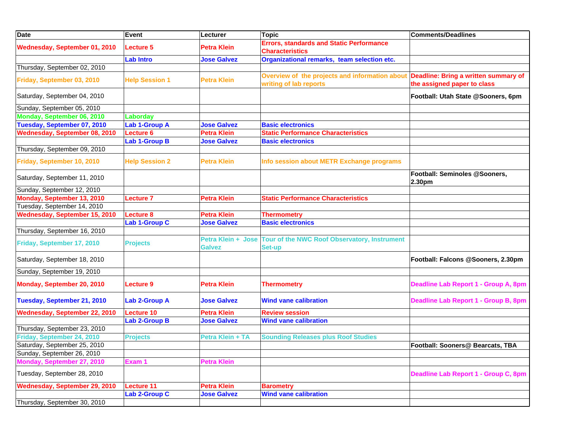| <b>Date</b>                   | <b>Event</b>          | Lecturer                            | <b>Topic</b>                                                              | <b>Comments/Deadlines</b>                                           |
|-------------------------------|-----------------------|-------------------------------------|---------------------------------------------------------------------------|---------------------------------------------------------------------|
| Wednesday, September 01, 2010 | Lecture 5             | <b>Petra Klein</b>                  | <b>Errors, standards and Static Performance</b><br><b>Characteristics</b> |                                                                     |
|                               | <b>Lab Intro</b>      | <b>Jose Galvez</b>                  | Organizational remarks, team selection etc.                               |                                                                     |
| Thursday, September 02, 2010  |                       |                                     |                                                                           |                                                                     |
| Friday, September 03, 2010    | <b>Help Session 1</b> | Petra Klein                         | Overview of the projects and information about<br>writing of lab reports  | Deadline: Bring a written summary of<br>the assigned paper to class |
| Saturday, September 04, 2010  |                       |                                     |                                                                           | Football: Utah State @Sooners, 6pm                                  |
| Sunday, September 05, 2010    |                       |                                     |                                                                           |                                                                     |
| Monday, September 06, 2010    | Laborday              |                                     |                                                                           |                                                                     |
| Tuesday, September 07, 2010   | <b>Lab 1-Group A</b>  | <b>Jose Galvez</b>                  | <b>Basic electronics</b>                                                  |                                                                     |
| Wednesday, September 08, 2010 | <b>Lecture 6</b>      | <b>Petra Klein</b>                  | <b>Static Performance Characteristics</b>                                 |                                                                     |
|                               | <b>Lab 1-Group B</b>  | <b>Jose Galvez</b>                  | <b>Basic electronics</b>                                                  |                                                                     |
| Thursday, September 09, 2010  |                       |                                     |                                                                           |                                                                     |
| Friday, September 10, 2010    | <b>Help Session 2</b> | Petra Klein                         | Info session about METR Exchange programs                                 |                                                                     |
| Saturday, September 11, 2010  |                       |                                     |                                                                           | Football: Seminoles @Sooners,<br>2.30pm                             |
| Sunday, September 12, 2010    |                       |                                     |                                                                           |                                                                     |
| Monday, September 13, 2010    | <b>Lecture 7</b>      | <b>Petra Klein</b>                  | <b>Static Performance Characteristics</b>                                 |                                                                     |
| Tuesday, September 14, 2010   |                       |                                     |                                                                           |                                                                     |
| Wednesday, September 15, 2010 | Lecture 8             | Petra Klein                         | <b>Thermometry</b>                                                        |                                                                     |
|                               | Lab 1-Group C         | <b>Jose Galvez</b>                  | <b>Basic electronics</b>                                                  |                                                                     |
| Thursday, September 16, 2010  |                       |                                     |                                                                           |                                                                     |
| Friday, September 17, 2010    | <b>Projects</b>       | Petra Klein + Jose<br><b>Galvez</b> | Tour of the NWC Roof Observatory, Instrument<br>Set-up                    |                                                                     |
| Saturday, September 18, 2010  |                       |                                     |                                                                           | Football: Falcons @Sooners, 2.30pm                                  |
| Sunday, September 19, 2010    |                       |                                     |                                                                           |                                                                     |
| Monday, September 20, 2010    | <b>Lecture 9</b>      | <b>Petra Klein</b>                  | <b>Thermometry</b>                                                        | Deadline Lab Report 1 - Group A, 8pm                                |
| Tuesday, September 21, 2010   | <b>Lab 2-Group A</b>  | <b>Jose Galvez</b>                  | <b>Wind vane calibration</b>                                              | Deadline Lab Report 1 - Group B, 8pm                                |
| Wednesday, September 22, 2010 | <b>Lecture 10</b>     | <b>Petra Klein</b>                  | <b>Review session</b>                                                     |                                                                     |
|                               | <b>Lab 2-Group B</b>  | <b>Jose Galvez</b>                  | <b>Wind vane calibration</b>                                              |                                                                     |
| Thursday, September 23, 2010  |                       |                                     |                                                                           |                                                                     |
| Friday, September 24, 2010    | <b>Projects</b>       | Petra Klein + TA                    | <b>Sounding Releases plus Roof Studies</b>                                |                                                                     |
| Saturday, September 25, 2010  |                       |                                     |                                                                           | Football: Sooners@ Bearcats, TBA                                    |
| Sunday, September 26, 2010    |                       |                                     |                                                                           |                                                                     |
| Monday, September 27, 2010    | Exam 1                | Petra Klein                         |                                                                           |                                                                     |
| Tuesday, September 28, 2010   |                       |                                     |                                                                           | Deadline Lab Report 1 - Group C, 8pm                                |
| Wednesday, September 29, 2010 | <b>Lecture 11</b>     | <b>Petra Klein</b>                  | <b>Barometry</b>                                                          |                                                                     |
|                               | <b>Lab 2-Group C</b>  | <b>Jose Galvez</b>                  | <b>Wind vane calibration</b>                                              |                                                                     |
| Thursday, September 30, 2010  |                       |                                     |                                                                           |                                                                     |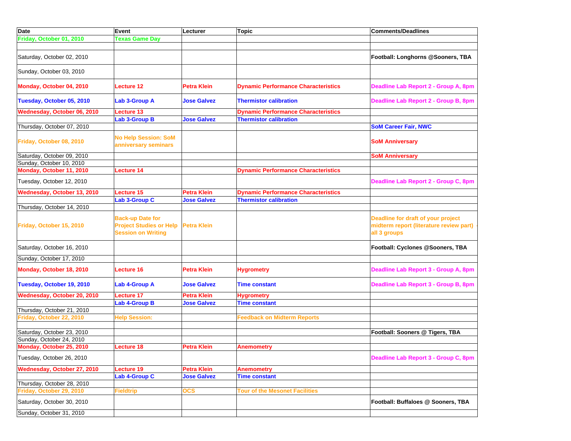| <b>Date</b>                 | Event                                                                                  | Lecturer           | <b>Topic</b>                               | <b>Comments/Deadlines</b>                                                                     |
|-----------------------------|----------------------------------------------------------------------------------------|--------------------|--------------------------------------------|-----------------------------------------------------------------------------------------------|
| Friday, October 01, 2010    | <b>Texas Game Day</b>                                                                  |                    |                                            |                                                                                               |
|                             |                                                                                        |                    |                                            |                                                                                               |
| Saturday, October 02, 2010  |                                                                                        |                    |                                            | Football: Longhorns @Sooners, TBA                                                             |
| Sunday, October 03, 2010    |                                                                                        |                    |                                            |                                                                                               |
| Monday, October 04, 2010    | <b>Lecture 12</b>                                                                      | <b>Petra Klein</b> | <b>Dynamic Performance Characteristics</b> | Deadline Lab Report 2 - Group A, 8pm                                                          |
| Tuesday, October 05, 2010   | Lab 3-Group A                                                                          | <b>Jose Galvez</b> | <b>Thermistor calibration</b>              | Deadline Lab Report 2 - Group B, 8pm                                                          |
| Wednesday, October 06, 2010 | <b>Lecture 13</b>                                                                      |                    | <b>Dynamic Performance Characteristics</b> |                                                                                               |
|                             | <b>Lab 3-Group B</b>                                                                   | <b>Jose Galvez</b> | <b>Thermistor calibration</b>              |                                                                                               |
| Thursday, October 07, 2010  |                                                                                        |                    |                                            | <b>SoM Career Fair, NWC</b>                                                                   |
| Friday, October 08, 2010    | <b>No Help Session: SoM</b><br>anniversary seminars                                    |                    |                                            | <b>SoM Anniversary</b>                                                                        |
| Saturday, October 09, 2010  |                                                                                        |                    |                                            | <b>SoM Anniversary</b>                                                                        |
| Sunday, October 10, 2010    |                                                                                        |                    |                                            |                                                                                               |
| Monday, October 11, 2010    | Lecture 14                                                                             |                    | <b>Dynamic Performance Characteristics</b> |                                                                                               |
| Tuesday, October 12, 2010   |                                                                                        |                    |                                            | Deadline Lab Report 2 - Group C, 8pm                                                          |
| Wednesday, October 13, 2010 | Lecture 15                                                                             | <b>Petra Klein</b> | <b>Dynamic Performance Characteristics</b> |                                                                                               |
|                             | <b>Lab 3-Group C</b>                                                                   | <b>Jose Galvez</b> | <b>Thermistor calibration</b>              |                                                                                               |
| Thursday, October 14, 2010  |                                                                                        |                    |                                            |                                                                                               |
| Friday, October 15, 2010    | <b>Back-up Date for</b><br><b>Project Studies or Help</b><br><b>Session on Writing</b> | <b>Petra Klein</b> |                                            | Deadline for draft of your project<br>midterm report (literature review part)<br>all 3 groups |
| Saturday, October 16, 2010  |                                                                                        |                    |                                            | Football: Cyclones @Sooners, TBA                                                              |
| Sunday, October 17, 2010    |                                                                                        |                    |                                            |                                                                                               |
| Monday, October 18, 2010    | <b>Lecture 16</b>                                                                      | <b>Petra Klein</b> | <b>Hygrometry</b>                          | Deadline Lab Report 3 - Group A, 8pm                                                          |
| Tuesday, October 19, 2010   | Lab 4-Group A                                                                          | <b>Jose Galvez</b> | <b>Time constant</b>                       | Deadline Lab Report 3 - Group B, 8pm                                                          |
| Wednesday, October 20, 2010 | <b>Lecture 17</b>                                                                      | <b>Petra Klein</b> | <b>Hygrometry</b>                          |                                                                                               |
|                             | <b>Lab 4-Group B</b>                                                                   | <b>Jose Galvez</b> | <b>Time constant</b>                       |                                                                                               |
| Thursday, October 21, 2010  |                                                                                        |                    |                                            |                                                                                               |
| Friday, October 22, 2010    | <b>Help Session:</b>                                                                   |                    | <b>Feedback on Midterm Reports</b>         |                                                                                               |
|                             |                                                                                        |                    |                                            |                                                                                               |
| Saturday, October 23, 2010  |                                                                                        |                    |                                            | Football: Sooners @ Tigers, TBA                                                               |
| Sunday, October 24, 2010    |                                                                                        |                    |                                            |                                                                                               |
| Monday, October 25, 2010    | Lecture 18                                                                             | <b>Petra Klein</b> | <b>Anemometry</b>                          |                                                                                               |
| Tuesday, October 26, 2010   |                                                                                        |                    |                                            | Deadline Lab Report 3 - Group C, 8pm                                                          |
| Wednesday, October 27, 2010 | Lecture 19                                                                             | <b>Petra Klein</b> | <b>Anemometry</b>                          |                                                                                               |
|                             | <b>Lab 4-Group C</b>                                                                   | <b>Jose Galvez</b> | <b>Time constant</b>                       |                                                                                               |
| Thursday, October 28, 2010  |                                                                                        |                    |                                            |                                                                                               |
| Friday, October 29, 2010    | <b>Fieldtrip</b>                                                                       | <b>OCS</b>         | <b>Tour of the Mesonet Facilities</b>      |                                                                                               |
| Saturday, October 30, 2010  |                                                                                        |                    |                                            | Football: Buffaloes @ Sooners, TBA                                                            |
| Sunday, October 31, 2010    |                                                                                        |                    |                                            |                                                                                               |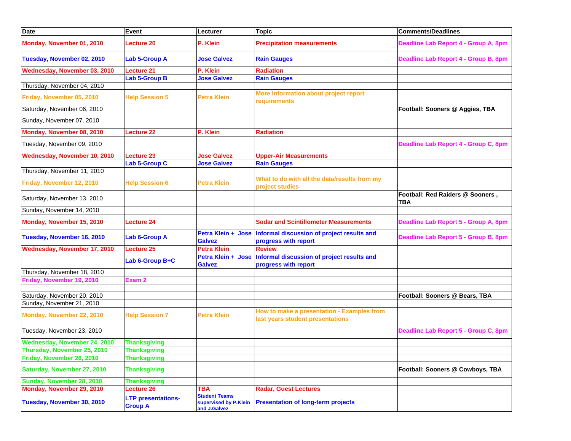| <b>Date</b>                  | Event                                       | Lecturer                                                      | <b>Topic</b>                                                                   | <b>Comments/Deadlines</b>                      |
|------------------------------|---------------------------------------------|---------------------------------------------------------------|--------------------------------------------------------------------------------|------------------------------------------------|
| Monday, November 01, 2010    | <b>Lecture 20</b>                           | P. Klein                                                      | <b>Precipitation measurements</b>                                              | Deadline Lab Report 4 - Group A, 8pm           |
| Tuesday, November 02, 2010   | Lab 5-Group A                               | <b>Jose Galvez</b>                                            | <b>Rain Gauges</b>                                                             | Deadline Lab Report 4 - Group B, 8pm           |
| Wednesday, November 03, 2010 | <b>Lecture 21</b>                           | P. Klein                                                      | <b>Radiation</b>                                                               |                                                |
|                              | <b>Lab 5-Group B</b>                        | <b>Jose Galvez</b>                                            | <b>Rain Gauges</b>                                                             |                                                |
| Thursday, November 04, 2010  |                                             |                                                               |                                                                                |                                                |
| Friday, November 05, 2010    | <b>Help Session 5</b>                       | <b>Petra Klein</b>                                            | More Information about project report<br>requirements                          |                                                |
| Saturday, November 06, 2010  |                                             |                                                               |                                                                                | Football: Sooners @ Aggies, TBA                |
| Sunday, November 07, 2010    |                                             |                                                               |                                                                                |                                                |
| Monday, November 08, 2010    | <b>Lecture 22</b>                           | P. Klein                                                      | <b>Radiation</b>                                                               |                                                |
| Tuesday, November 09, 2010   |                                             |                                                               |                                                                                | Deadline Lab Report 4 - Group C, 8pm           |
| Wednesday, November 10, 2010 | Lecture 23                                  | <b>Jose Galvez</b>                                            | <b>Upper-Air Measurements</b>                                                  |                                                |
|                              | <b>Lab 5-Group C</b>                        | <b>Jose Galvez</b>                                            | <b>Rain Gauges</b>                                                             |                                                |
| Thursday, November 11, 2010  |                                             |                                                               |                                                                                |                                                |
|                              |                                             |                                                               | What to do with all the data/results from my                                   |                                                |
| Friday, November 12, 2010    | <b>Help Session 6</b>                       | <b>Petra Klein</b>                                            | project studies                                                                |                                                |
| Saturday, November 13, 2010  |                                             |                                                               |                                                                                | Football: Red Raiders @ Sooners,<br><b>TBA</b> |
| Sunday, November 14, 2010    |                                             |                                                               |                                                                                |                                                |
| Monday, November 15, 2010    | <b>Lecture 24</b>                           |                                                               | <b>Sodar and Scintillometer Measurements</b>                                   | Deadline Lab Report 5 - Group A, 8pm           |
| Tuesday, November 16, 2010   | Lab 6-Group A                               | Petra Klein + Jose<br><b>Galvez</b>                           | Informal discussion of project results and<br>progress with report             | Deadline Lab Report 5 - Group B, 8pm           |
| Wednesday, November 17, 2010 | Lecture 25                                  | <b>Petra Klein</b>                                            | <b>Review</b>                                                                  |                                                |
|                              | Lab 6-Group B+C                             | <b>Petra Klein + Jose</b><br><b>Galvez</b>                    | Informal discussion of project results and<br>progress with report             |                                                |
| Thursday, November 18, 2010  |                                             |                                                               |                                                                                |                                                |
| Friday, November 19, 2010    | Exam <sub>2</sub>                           |                                                               |                                                                                |                                                |
| Saturday, November 20, 2010  |                                             |                                                               |                                                                                | Football: Sooners @ Bears, TBA                 |
| Sunday, November 21, 2010    |                                             |                                                               |                                                                                |                                                |
| Monday, November 22, 2010    | <b>Help Session 7</b>                       | <b>Petra Klein</b>                                            | How to make a presentation - Examples from<br>last years student presentations |                                                |
| Tuesday, November 23, 2010   |                                             |                                                               |                                                                                | Deadline Lab Report 5 - Group C, 8pm           |
| Wednesday, November 24, 2010 | <b>Thanksgiving</b>                         |                                                               |                                                                                |                                                |
| Thursday, November 25, 2010  | <b>Thanksgiving</b>                         |                                                               |                                                                                |                                                |
| Friday, November 26, 2010    | <b>Thanksgiving</b>                         |                                                               |                                                                                |                                                |
| Saturday, November 27, 2010  | <b>Thanksgiving</b>                         |                                                               |                                                                                | Football: Sooners @ Cowboys, TBA               |
| Sunday, November 28, 2010    | <b>Thanksgiving</b>                         |                                                               |                                                                                |                                                |
| Monday, November 29, 2010    | Lecture 26                                  | <b>TBA</b>                                                    | <b>Radar, Guest Lectures</b>                                                   |                                                |
| Tuesday, November 30, 2010   | <b>LTP presentations-</b><br><b>Group A</b> | <b>Student Teams</b><br>supervised by P.Klein<br>and J.Galvez | <b>Presentation of long-term projects</b>                                      |                                                |